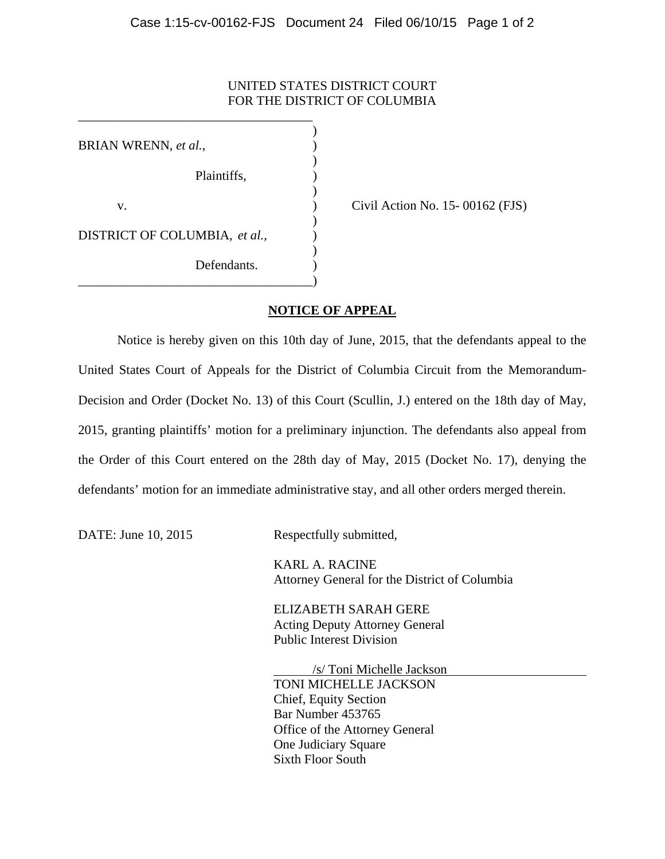## UNITED STATES DISTRICT COURT FOR THE DISTRICT OF COLUMBIA

 $)$ BRIAN WRENN, *et al.*,  $)$ Plaintiffs,  $\qquad \qquad$ )  $\overline{\phantom{a}}$ v. ) Civil Action No. 15- 00162 (FJS)  $\overline{\phantom{a}}$ DISTRICT OF COLUMBIA, *et al.*,  $\qquad$ )  $\overline{\phantom{a}}$ Defendants. \_\_\_\_\_\_\_\_\_\_\_\_\_\_\_\_\_\_\_\_\_\_\_\_\_\_\_\_\_\_\_\_\_\_\_\_)

\_\_\_\_\_\_\_\_\_\_\_\_\_\_\_\_\_\_\_\_\_\_\_\_\_\_\_\_\_\_\_\_\_\_\_\_

## **NOTICE OF APPEAL**

 Notice is hereby given on this 10th day of June, 2015, that the defendants appeal to the United States Court of Appeals for the District of Columbia Circuit from the Memorandum-Decision and Order (Docket No. 13) of this Court (Scullin, J.) entered on the 18th day of May, 2015, granting plaintiffs' motion for a preliminary injunction. The defendants also appeal from the Order of this Court entered on the 28th day of May, 2015 (Docket No. 17), denying the defendants' motion for an immediate administrative stay, and all other orders merged therein.

DATE: June 10, 2015 Respectfully submitted,

 KARL A. RACINE Attorney General for the District of Columbia

 ELIZABETH SARAH GERE Acting Deputy Attorney General Public Interest Division

 /s/ Toni Michelle Jackson TONI MICHELLE JACKSON Chief, Equity Section Bar Number 453765 Office of the Attorney General One Judiciary Square Sixth Floor South